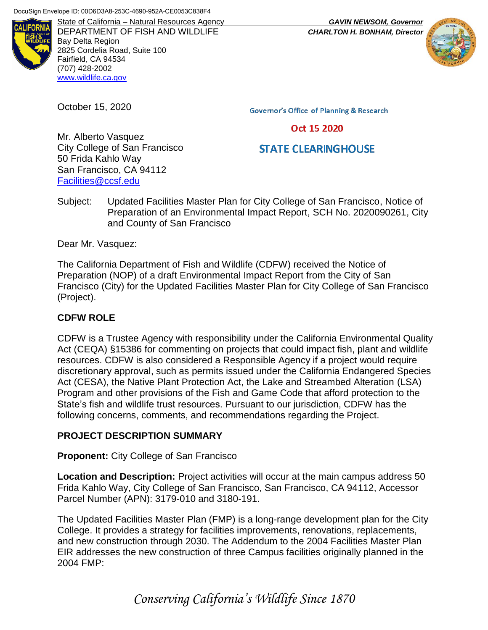

DEPARTMENT OF FISH AND WILDLIFE *CHARLTON H. BONHAM, Director* Bay Delta Region 2825 Cordelia Road, Suite 100 Fairfield, CA 94534 (707) 428-2002 [www.wildlife.ca.gov](http://www.wildlife.ca.gov/)

October 15, 2020

**Governor's Office of Planning & Research** 

#### Oct 15 2020

# **STATE CLEARINGHOUSE**

Mr. Alberto Vasquez City College of San Francisco 50 Frida Kahlo Way San Francisco, CA 94112 [Facilities@ccsf.edu](mailto:Facilities@ccsf.edu)

Subject: Updated Facilities Master Plan for City College of San Francisco, Notice of Preparation of an Environmental Impact Report, SCH No. 2020090261, City and County of San Francisco

Dear Mr. Vasquez:

The California Department of Fish and Wildlife (CDFW) received the Notice of Preparation (NOP) of a draft Environmental Impact Report from the City of San Francisco (City) for the Updated Facilities Master Plan for City College of San Francisco (Project).

# **CDFW ROLE**

CDFW is a Trustee Agency with responsibility under the California Environmental Quality Act (CEQA) §15386 for commenting on projects that could impact fish, plant and wildlife resources. CDFW is also considered a Responsible Agency if a project would require discretionary approval, such as permits issued under the California Endangered Species Act (CESA), the Native Plant Protection Act, the Lake and Streambed Alteration (LSA) Program and other provisions of the Fish and Game Code that afford protection to the State's fish and wildlife trust resources. Pursuant to our jurisdiction, CDFW has the following concerns, comments, and recommendations regarding the Project.

#### **PROJECT DESCRIPTION SUMMARY**

**Proponent:** City College of San Francisco

**Location and Description:** Project activities will occur at the main campus address 50 Frida Kahlo Way, City College of San Francisco, San Francisco, CA 94112, Accessor Parcel Number (APN): 3179-010 and 3180-191.

The Updated Facilities Master Plan (FMP) is a long-range development plan for the City College. It provides a strategy for facilities improvements, renovations, replacements, and new construction through 2030. The Addendum to the 2004 Facilities Master Plan EIR addresses the new construction of three Campus facilities originally planned in the 2004 FMP:

State of California – Natural Resources Agency *GAVIN NEWSOM, Governor*



# *Conserving California's Wildlife Since 1870*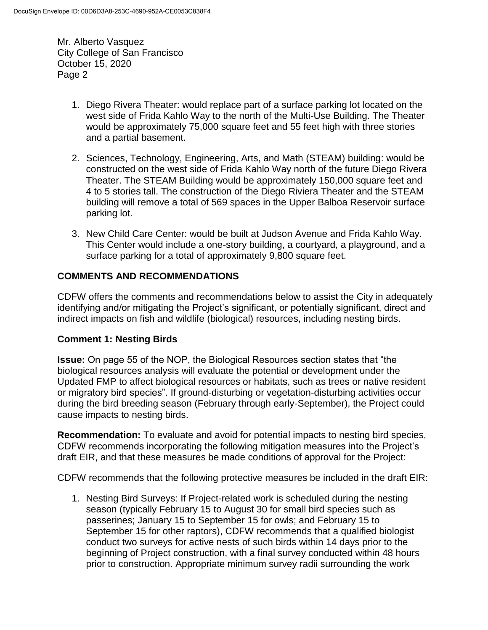- 1. Diego Rivera Theater: would replace part of a surface parking lot located on the west side of Frida Kahlo Way to the north of the Multi-Use Building. The Theater would be approximately 75,000 square feet and 55 feet high with three stories and a partial basement.
- 2. Sciences, Technology, Engineering, Arts, and Math (STEAM) building: would be constructed on the west side of Frida Kahlo Way north of the future Diego Rivera Theater. The STEAM Building would be approximately 150,000 square feet and 4 to 5 stories tall. The construction of the Diego Riviera Theater and the STEAM building will remove a total of 569 spaces in the Upper Balboa Reservoir surface parking lot.
- 3. New Child Care Center: would be built at Judson Avenue and Frida Kahlo Way. This Center would include a one-story building, a courtyard, a playground, and a surface parking for a total of approximately 9,800 square feet.

## **COMMENTS AND RECOMMENDATIONS**

CDFW offers the comments and recommendations below to assist the City in adequately identifying and/or mitigating the Project's significant, or potentially significant, direct and indirect impacts on fish and wildlife (biological) resources, including nesting birds.

#### **Comment 1: Nesting Birds**

**Issue:** On page 55 of the NOP, the Biological Resources section states that "the biological resources analysis will evaluate the potential or development under the Updated FMP to affect biological resources or habitats, such as trees or native resident or migratory bird species". If ground-disturbing or vegetation-disturbing activities occur during the bird breeding season (February through early-September), the Project could cause impacts to nesting birds.

**Recommendation:** To evaluate and avoid for potential impacts to nesting bird species, CDFW recommends incorporating the following mitigation measures into the Project's draft EIR, and that these measures be made conditions of approval for the Project:

CDFW recommends that the following protective measures be included in the draft EIR:

1. Nesting Bird Surveys: If Project-related work is scheduled during the nesting season (typically February 15 to August 30 for small bird species such as passerines; January 15 to September 15 for owls; and February 15 to September 15 for other raptors), CDFW recommends that a qualified biologist conduct two surveys for active nests of such birds within 14 days prior to the beginning of Project construction, with a final survey conducted within 48 hours prior to construction. Appropriate minimum survey radii surrounding the work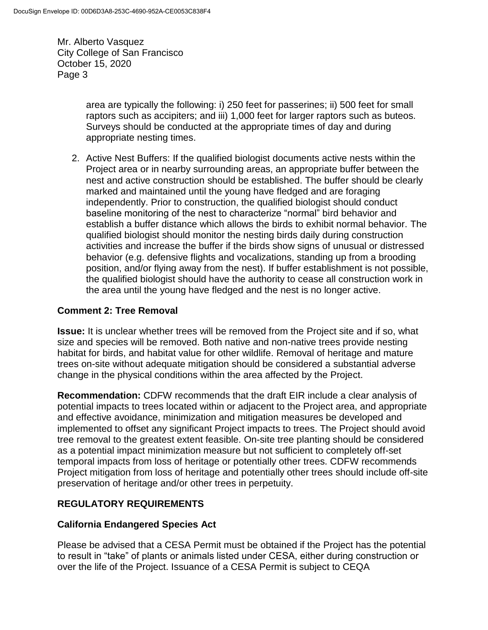> area are typically the following: i) 250 feet for passerines; ii) 500 feet for small raptors such as accipiters; and iii) 1,000 feet for larger raptors such as buteos. Surveys should be conducted at the appropriate times of day and during appropriate nesting times.

2. Active Nest Buffers: If the qualified biologist documents active nests within the Project area or in nearby surrounding areas, an appropriate buffer between the nest and active construction should be established. The buffer should be clearly marked and maintained until the young have fledged and are foraging independently. Prior to construction, the qualified biologist should conduct baseline monitoring of the nest to characterize "normal" bird behavior and establish a buffer distance which allows the birds to exhibit normal behavior. The qualified biologist should monitor the nesting birds daily during construction activities and increase the buffer if the birds show signs of unusual or distressed behavior (e.g. defensive flights and vocalizations, standing up from a brooding position, and/or flying away from the nest). If buffer establishment is not possible, the qualified biologist should have the authority to cease all construction work in the area until the young have fledged and the nest is no longer active.

## **Comment 2: Tree Removal**

**Issue:** It is unclear whether trees will be removed from the Project site and if so, what size and species will be removed. Both native and non-native trees provide nesting habitat for birds, and habitat value for other wildlife. Removal of heritage and mature trees on-site without adequate mitigation should be considered a substantial adverse change in the physical conditions within the area affected by the Project.

**Recommendation:** CDFW recommends that the draft EIR include a clear analysis of potential impacts to trees located within or adjacent to the Project area, and appropriate and effective avoidance, minimization and mitigation measures be developed and implemented to offset any significant Project impacts to trees. The Project should avoid tree removal to the greatest extent feasible. On-site tree planting should be considered as a potential impact minimization measure but not sufficient to completely off-set temporal impacts from loss of heritage or potentially other trees. CDFW recommends Project mitigation from loss of heritage and potentially other trees should include off-site preservation of heritage and/or other trees in perpetuity.

# **REGULATORY REQUIREMENTS**

#### **California Endangered Species Act**

Please be advised that a CESA Permit must be obtained if the Project has the potential to result in "take" of plants or animals listed under CESA, either during construction or over the life of the Project. Issuance of a CESA Permit is subject to CEQA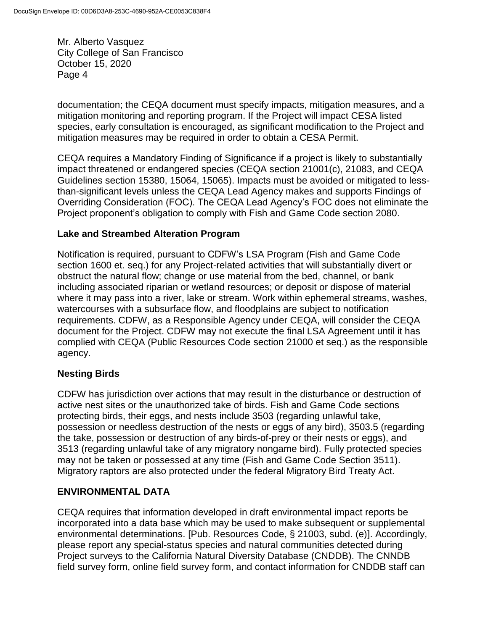documentation; the CEQA document must specify impacts, mitigation measures, and a mitigation monitoring and reporting program. If the Project will impact CESA listed species, early consultation is encouraged, as significant modification to the Project and mitigation measures may be required in order to obtain a CESA Permit.

CEQA requires a Mandatory Finding of Significance if a project is likely to substantially impact threatened or endangered species (CEQA section 21001(c), 21083, and CEQA Guidelines section 15380, 15064, 15065). Impacts must be avoided or mitigated to lessthan-significant levels unless the CEQA Lead Agency makes and supports Findings of Overriding Consideration (FOC). The CEQA Lead Agency's FOC does not eliminate the Project proponent's obligation to comply with Fish and Game Code section 2080.

## **Lake and Streambed Alteration Program**

Notification is required, pursuant to CDFW's LSA Program (Fish and Game Code section 1600 et. seq.) for any Project-related activities that will substantially divert or obstruct the natural flow; change or use material from the bed, channel, or bank including associated riparian or wetland resources; or deposit or dispose of material where it may pass into a river, lake or stream. Work within ephemeral streams, washes, watercourses with a subsurface flow, and floodplains are subject to notification requirements. CDFW, as a Responsible Agency under CEQA, will consider the CEQA document for the Project. CDFW may not execute the final LSA Agreement until it has complied with CEQA (Public Resources Code section 21000 et seq.) as the responsible agency.

# **Nesting Birds**

CDFW has jurisdiction over actions that may result in the disturbance or destruction of active nest sites or the unauthorized take of birds. Fish and Game Code sections protecting birds, their eggs, and nests include 3503 (regarding unlawful take, possession or needless destruction of the nests or eggs of any bird), 3503.5 (regarding the take, possession or destruction of any birds-of-prey or their nests or eggs), and 3513 (regarding unlawful take of any migratory nongame bird). Fully protected species may not be taken or possessed at any time (Fish and Game Code Section 3511). Migratory raptors are also protected under the federal Migratory Bird Treaty Act.

#### **ENVIRONMENTAL DATA**

CEQA requires that information developed in draft environmental impact reports be incorporated into a data base which may be used to make subsequent or supplemental environmental determinations. [Pub. Resources Code, § 21003, subd. (e)]. Accordingly, please report any special-status species and natural communities detected during Project surveys to the California Natural Diversity Database (CNDDB). The CNNDB field survey form, online field survey form, and contact information for CNDDB staff can